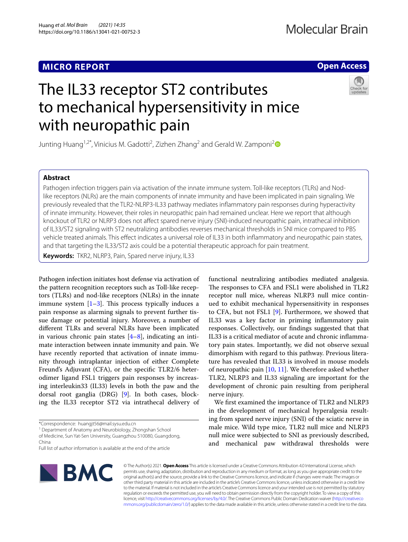# **MICRO REPORT**

# **Open Access**

# The IL33 receptor ST2 contributes to mechanical hypersensitivity in mice with neuropathic pain



Junting Huang<sup>1,[2](http://orcid.org/0000-0002-0644-9066)\*</sup>, Vinicius M. Gadotti<sup>2</sup>, Zizhen Zhang<sup>2</sup> and Gerald W. Zamponi<sup>2</sup>

# **Abstract**

Pathogen infection triggers pain via activation of the innate immune system. Toll-like receptors (TLRs) and Nodlike receptors (NLRs) are the main components of innate immunity and have been implicated in pain signaling. We previously revealed that the TLR2-NLRP3-IL33 pathway mediates infammatory pain responses during hyperactivity of innate immunity. However, their roles in neuropathic pain had remained unclear. Here we report that although knockout of TLR2 or NLRP3 does not afect spared nerve injury (SNI)-induced neuropathic pain, intrathecal inhibition of IL33/ST2 signaling with ST2 neutralizing antibodies reverses mechanical thresholds in SNI mice compared to PBS vehicle treated animals. This efect indicates a universal role of IL33 in both infammatory and neuropathic pain states, and that targeting the IL33/ST2 axis could be a potential therapeutic approach for pain treatment.

**Keywords:** TKR2, NLRP3, Pain, Spared nerve injury, IL33

Pathogen infection initiates host defense via activation of the pattern recognition receptors such as Toll-like receptors (TLRs) and nod-like receptors (NLRs) in the innate immune system  $[1-3]$  $[1-3]$ . This process typically induces a pain response as alarming signals to prevent further tissue damage or potential injury. Moreover, a number of diferent TLRs and several NLRs have been implicated in various chronic pain states  $[4-8]$  $[4-8]$ , indicating an intimate interaction between innate immunity and pain. We have recently reported that activation of innate immunity through intraplantar injection of either Complete Freund's Adjuvant (CFA), or the specifc TLR2/6 heterodimer ligand FSL1 triggers pain responses by increasing interleukin33 (IL33) levels in both the paw and the dorsal root ganglia (DRG) [[9\]](#page-3-4). In both cases, blocking the IL33 receptor ST2 via intrathecal delivery of

<sup>1</sup> Department of Anatomy and Neurobiology, Zhongshan School

of Medicine, Sun Yat-Sen University, Guangzhou 510080, Guangdong, China

Full list of author information is available at the end of the article



functional neutralizing antibodies mediated analgesia. The responses to CFA and FSL1 were abolished in TLR2 receptor null mice, whereas NLRP3 null mice continued to exhibit mechanical hypersensitivity in responses to CFA, but not FSL1 [[9\]](#page-3-4). Furthermore, we showed that IL33 was a key factor in priming infammatory pain responses. Collectively, our fndings suggested that that IL33 is a critical mediator of acute and chronic infammatory pain states. Importantly, we did not observe sexual dimorphism with regard to this pathway. Previous literature has revealed that IL33 is involved in mouse models of neuropathic pain [[10,](#page-3-5) [11](#page-3-6)]. We therefore asked whether TLR2, NLRP3 and IL33 signaling are important for the development of chronic pain resulting from peripheral nerve injury.

We frst examined the importance of TLR2 and NLRP3 in the development of mechanical hyperalgesia resulting from spared nerve injury (SNI) of the sciatic nerve in male mice. Wild type mice, TLR2 null mice and NLRP3 null mice were subjected to SNI as previously described, and mechanical paw withdrawal thresholds were

© The Author(s) 2021. **Open Access** This article is licensed under a Creative Commons Attribution 4.0 International License, which permits use, sharing, adaptation, distribution and reproduction in any medium or format, as long as you give appropriate credit to the original author(s) and the source, provide a link to the Creative Commons licence, and indicate if changes were made. The images or other third party material in this article are included in the article's Creative Commons licence, unless indicated otherwise in a credit line to the material. If material is not included in the article's Creative Commons licence and your intended use is not permitted by statutory regulation or exceeds the permitted use, you will need to obtain permission directly from the copyright holder. To view a copy of this licence, visit [http://creativecommons.org/licenses/by/4.0/.](http://creativecommons.org/licenses/by/4.0/) The Creative Commons Public Domain Dedication waiver ([http://creativeco](http://creativecommons.org/publicdomain/zero/1.0/) [mmons.org/publicdomain/zero/1.0/](http://creativecommons.org/publicdomain/zero/1.0/)) applies to the data made available in this article, unless otherwise stated in a credit line to the data.

<sup>\*</sup>Correspondence: huangjt56@mail.sysu.edu.cn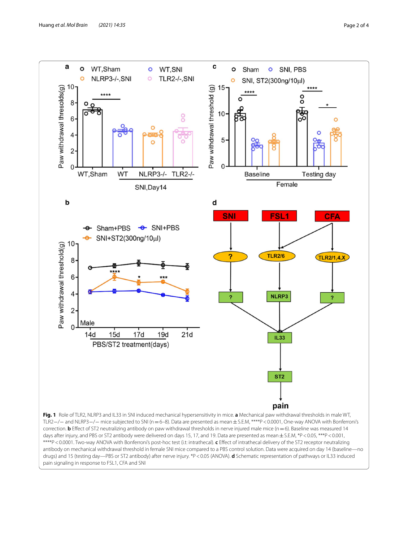

<span id="page-1-0"></span>days after injury, and PBS or ST2 antibody were delivered on days 15, 17, and 19. Data are presented as mean  $\pm$  S.E.M, \*P < 0.05, \*\*\*P < 0.001, \*\*\*\*P<0.0001. Two-way ANOVA with Bonferroni's post-hoc test (i.t: intrathecal). **c** Effect of intrathecal delivery of the ST2 receptor neutralizing antibody on mechanical withdrawal threshold in female SNI mice compared to a PBS control solution. Data were acquired on day 14 (baseline—no drugs) and 15 (testing day—PBS or ST2 antibody) after nerve injury. \*P<0.05 (ANOVA). **d** Schematic representation of pathways or IL33 induced pain signaling in response to FSL1, CFA and SNI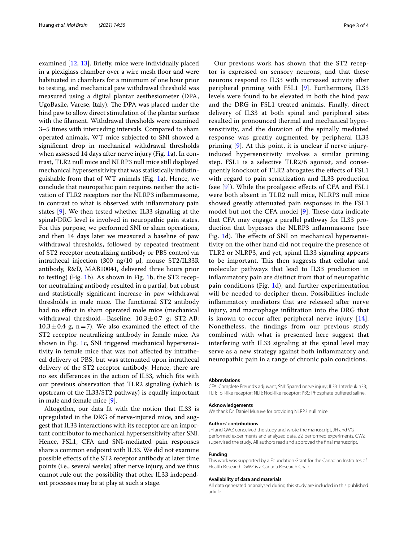examined [[12,](#page-3-7) [13\]](#page-3-8). Briefy, mice were individually placed in a plexiglass chamber over a wire mesh floor and were habituated in chambers for a minimum of one hour prior to testing, and mechanical paw withdrawal threshold was measured using a digital plantar aesthesiometer (DPA, UgoBasile, Varese, Italy). The DPA was placed under the hind paw to allow direct stimulation of the plantar surface with the flament. Withdrawal thresholds were examined 3–5 times with interceding intervals. Compared to sham operated animals, WT mice subjected to SNI showed a signifcant drop in mechanical withdrawal thresholds when assessed 14 days after nerve injury (Fig. [1a](#page-1-0)). In contrast, TLR2 null mice and NLRP3 null mice still displayed mechanical hypersensitivity that was statistically indistinguishable from that of WT animals (Fig. [1](#page-1-0)a). Hence, we conclude that neuropathic pain requires neither the activation of TLR2 receptors nor the NLRP3 infammasome, in contrast to what is observed with infammatory pain states [\[9](#page-3-4)]. We then tested whether IL33 signaling at the spinal/DRG level is involved in neuropathic pain states. For this purpose, we performed SNI or sham operations, and then 14 days later we measured a baseline of paw withdrawal thresholds, followed by repeated treatment of ST2 receptor neutralizing antibody or PBS control via intrathecal injection (300 ng/10 μl, mouse ST2/IL33R antibody, R&D, MAB10041, delivered three hours prior to testing) (Fig. [1b](#page-1-0)). As shown in Fig. [1b](#page-1-0), the ST2 receptor neutralizing antibody resulted in a partial, but robust and statistically signifcant increase in paw withdrawal thresholds in male mice. The functional ST2 antibody had no efect in sham operated male mice (mechanical withdrawal threshold—Baseline:  $10.3 \pm 0.7$  g; ST2-AB:  $10.3 \pm 0.4$  g, n=7). We also examined the effect of the ST2 receptor neutralizing antibody in female mice. As shown in Fig. [1](#page-1-0)c, SNI triggered mechanical hypersensitivity in female mice that was not afected by intrathecal delivery of PBS, but was attenuated upon intrathecal delivery of the ST2 receptor antibody. Hence, there are no sex diferences in the action of IL33, which fts with our previous observation that TLR2 signaling (which is upstream of the IL33/ST2 pathway) is equally important in male and female mice [\[9](#page-3-4)].

Altogether, our data ft with the notion that IL33 is upregulated in the DRG of nerve-injured mice, and suggest that IL33 interactions with its receptor are an important contributor to mechanical hypersensitivity after SNI. Hence, FSL1, CFA and SNI-mediated pain responses share a common endpoint with IL33. We did not examine possible efects of the ST2 receptor antibody at later time points (i.e., several weeks) after nerve injury, and we thus cannot rule out the possibility that other IL33 independent processes may be at play at such a stage.

Our previous work has shown that the ST2 receptor is expressed on sensory neurons, and that these neurons respond to IL33 with increased activity after peripheral priming with FSL1 [\[9](#page-3-4)]. Furthermore, IL33 levels were found to be elevated in both the hind paw and the DRG in FSL1 treated animals. Finally, direct delivery of IL33 at both spinal and peripheral sites resulted in pronounced thermal and mechanical hypersensitivity, and the duration of the spinally mediated response was greatly augmented by peripheral IL33 priming [[9](#page-3-4)]. At this point, it is unclear if nerve injuryinduced hypersensitivity involves a similar priming step. FSL1 is a selective TLR2/6 agonist, and consequently knockout of TLR2 abrogates the efects of FSL1 with regard to pain sensitization and IL33 production (see [[9\]](#page-3-4)). While the proalgesic efects of CFA and FSL1 were both absent in TLR2 null mice, NLRP3 null mice showed greatly attenuated pain responses in the FSL1 model but not the CFA model  $[9]$  $[9]$ . These data indicate that CFA may engage a parallel pathway for IL33 production that bypasses the NLRP3 infammasome (see Fig. [1d](#page-1-0)). The effects of SNI on mechanical hypersensitivity on the other hand did not require the presence of TLR2 or NLRP3, and yet, spinal IL33 signaling appears to be important. This then suggests that cellular and molecular pathways that lead to IL33 production in infammatory pain are distinct from that of neuropathic pain conditions (Fig. [1d](#page-1-0)), and further experimentation will be needed to decipher them. Possibilities include infammatory mediators that are released after nerve injury, and macrophage infltration into the DRG that is known to occur after peripheral nerve injury [[14](#page-3-9)]. Nonetheless, the fndings from our previous study combined with what is presented here suggest that interfering with IL33 signaling at the spinal level may serve as a new strategy against both infammatory and neuropathic pain in a range of chronic pain conditions.

#### **Abbreviations**

CFA: Complete Freund's adjuvant; SNI: Spared nerve injury; IL33: Interleukin33; TLR: Toll-like receptor; NLR: Nod-like receptor; PBS: Phosphate bufered saline.

#### **Acknowledgements**

We thank Dr. Daniel Muruve for providing NLRP3 null mice.

#### **Authors' contributions**

JH and GWZ conceived the study and wrote the manuscript, JH and VG performed experiments and analyzed data. ZZ performed experiments. GWZ supervised the study. All authors read and approved the fnal manuscript.

### **Funding**

This work was supported by a Foundation Grant for the Canadian Institutes of Health Research. GWZ is a Canada Research Chair.

#### **Availability of data and materials**

All data generated or analysed during this study are included in this published article.